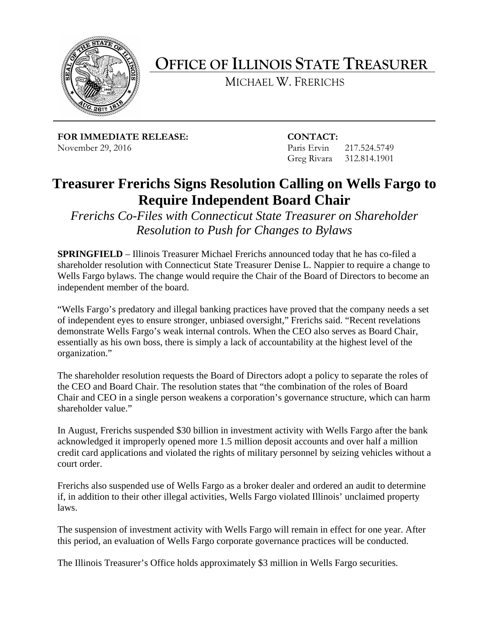

**OFFICE OF ILLINOIS STATE TREASURER**

MICHAEL W. FRERICHS

**FOR IMMEDIATE RELEASE: CONTACT:** November 29, 2016 **Paris Ervin 217.524.5749** 

Greg Rivara 312.814.1901

## **Treasurer Frerichs Signs Resolution Calling on Wells Fargo to Require Independent Board Chair**

*Frerichs Co-Files with Connecticut State Treasurer on Shareholder Resolution to Push for Changes to Bylaws*

**SPRINGFIELD** – Illinois Treasurer Michael Frerichs announced today that he has co-filed a shareholder resolution with Connecticut State Treasurer Denise L. Nappier to require a change to Wells Fargo bylaws. The change would require the Chair of the Board of Directors to become an independent member of the board.

"Wells Fargo's predatory and illegal banking practices have proved that the company needs a set of independent eyes to ensure stronger, unbiased oversight," Frerichs said. "Recent revelations demonstrate Wells Fargo's weak internal controls. When the CEO also serves as Board Chair, essentially as his own boss, there is simply a lack of accountability at the highest level of the organization."

The shareholder resolution requests the Board of Directors adopt a policy to separate the roles of the CEO and Board Chair. The resolution states that "the combination of the roles of Board Chair and CEO in a single person weakens a corporation's governance structure, which can harm shareholder value."

In August, Frerichs suspended \$30 billion in investment activity with Wells Fargo after the bank acknowledged it improperly opened more 1.5 million deposit accounts and over half a million credit card applications and violated the rights of military personnel by seizing vehicles without a court order.

Frerichs also suspended use of Wells Fargo as a broker dealer and ordered an audit to determine if, in addition to their other illegal activities, Wells Fargo violated Illinois' unclaimed property laws.

The suspension of investment activity with Wells Fargo will remain in effect for one year. After this period, an evaluation of Wells Fargo corporate governance practices will be conducted.

The Illinois Treasurer's Office holds approximately \$3 million in Wells Fargo securities.